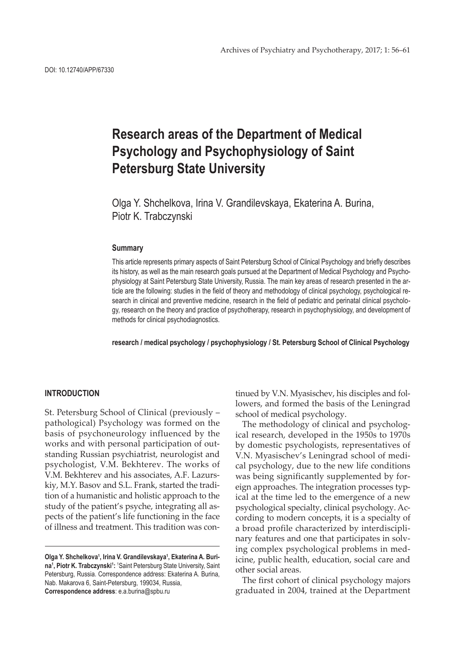# **Research areas of the Department of Medical Psychology and Psychophysiology of Saint Petersburg State University**

Olga Y. Shchelkova, Irina V. Grandilevskaya, Ekaterina A. Burina, Piotr K. Trabczynski

#### **Summary**

This article represents primary aspects of Saint Petersburg School of Clinical Psychology and briefly describes its history, as well as the main research goals pursued at the Department of Medical Psychology and Psychophysiology at Saint Petersburg State University, Russia. The main key areas of research presented in the article are the following: studies in the field of theory and methodology of clinical psychology, psychological research in clinical and preventive medicine, research in the field of pediatric and perinatal clinical psychology, research on the theory and practice of psychotherapy, research in psychophysiology, and development of methods for clinical psychodiagnostics.

**research / medical psychology / psychophysiology / St. Petersburg School of Clinical Psychology**

## **INTRODUCTION**

St. Petersburg School of Clinical (previously – pathological) Psychology was formed on the basis of psychoneurology influenced by the works and with personal participation of outstanding Russian psychiatrist, neurologist and psychologist, V.M. Bekhterev. The works of V.M. Bekhterev and his associates, A.F. Lazurskiy, M.Y. Basov and S.L. Frank, started the tradition of a humanistic and holistic approach to the study of the patient's psyche, integrating all aspects of the patient's life functioning in the face of illness and treatment. This tradition was con-

tinued by V.N. Myasischev, his disciples and followers, and formed the basis of the Leningrad school of medical psychology.

The methodology of clinical and psychological research, developed in the 1950s to 1970s by domestic psychologists, representatives of V.N. Myasischev's Leningrad school of medical psychology, due to the new life conditions was being significantly supplemented by foreign approaches. The integration processes typical at the time led to the emergence of a new psychological specialty, clinical psychology. According to modern concepts, it is a specialty of a broad profile characterized by interdisciplinary features and one that participates in solving complex psychological problems in medicine, public health, education, social care and other social areas.

The first cohort of clinical psychology majors graduated in 2004, trained at the Department

Olga Y. Shchelkova<sup>1</sup>, Irina V. Grandilevskaya<sup>1</sup>, Ekaterina A. Burina<sup>1</sup>, Piotr K. Trabczynski<sup>1</sup>: <sup>1</sup>Saint Petersburg State University, Saint Petersburg, Russia. Correspondence address: Ekaterina A. Burina, Nab. Makarova 6, Saint-Petersburg, 199034, Russia, **Correspondence address**: e.a.burina@spbu.ru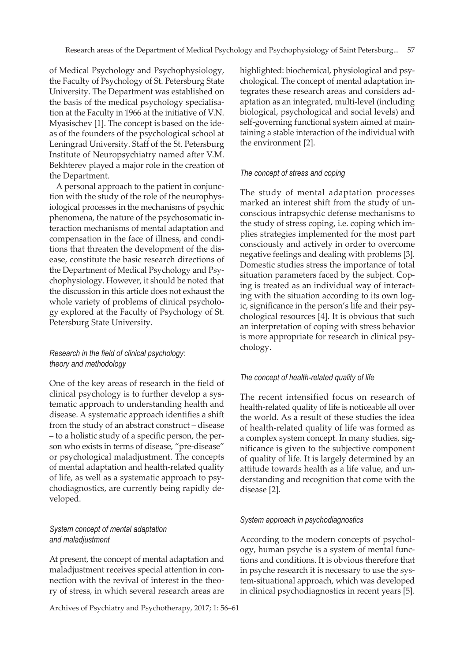of Medical Psychology and Psychophysiology, the Faculty of Psychology of St. Petersburg State University. The Department was established on the basis of the medical psychology specialisation at the Faculty in 1966 at the initiative of V.N. Myasischev [1]. The concept is based on the ideas of the founders of the psychological school at Leningrad University. Staff of the St. Petersburg Institute of Neuropsychiatry named after V.M. Bekhterev played a major role in the creation of the Department.

A personal approach to the patient in conjunction with the study of the role of the neurophysiological processes in the mechanisms of psychic phenomena, the nature of the psychosomatic interaction mechanisms of mental adaptation and compensation in the face of illness, and conditions that threaten the development of the disease, constitute the basic research directions of the Department of Medical Psychology and Psychophysiology. However, it should be noted that the discussion in this article does not exhaust the whole variety of problems of clinical psychology explored at the Faculty of Psychology of St. Petersburg State University.

# *Research in the field of clinical psychology: theory and methodology*

One of the key areas of research in the field of clinical psychology is to further develop a systematic approach to understanding health and disease. A systematic approach identifies a shift from the study of an abstract construct – disease – to a holistic study of a specific person, the person who exists in terms of disease, "pre-disease" or psychological maladjustment. The concepts of mental adaptation and health-related quality of life, as well as a systematic approach to psychodiagnostics, are currently being rapidly developed.

# *System concept of mental adaptation and maladjustment*

At present, the concept of mental adaptation and maladjustment receives special attention in connection with the revival of interest in the theory of stress, in which several research areas are

Archives of Psychiatry and Psychotherapy, 2017; 1: 56–61

highlighted: biochemical, physiological and psychological. The concept of mental adaptation integrates these research areas and considers adaptation as an integrated, multi-level (including biological, psychological and social levels) and self-governing functional system aimed at maintaining a stable interaction of the individual with the environment [2].

## *The concept of stress and coping*

The study of mental adaptation processes marked an interest shift from the study of unconscious intrapsychic defense mechanisms to the study of stress coping, i.e. coping which implies strategies implemented for the most part consciously and actively in order to overcome negative feelings and dealing with problems [3]. Domestic studies stress the importance of total situation parameters faced by the subject. Coping is treated as an individual way of interacting with the situation according to its own logic, significance in the person's life and their psychological resources [4]. It is obvious that such an interpretation of coping with stress behavior is more appropriate for research in clinical psychology.

# *The concept of health-related quality of life*

The recent intensified focus on research of health-related quality of life is noticeable all over the world. As a result of these studies the idea of health-related quality of life was formed as a complex system concept. In many studies, significance is given to the subjective component of quality of life. It is largely determined by an attitude towards health as a life value, and understanding and recognition that come with the disease [2].

## *System approach in psychodiagnostics*

According to the modern concepts of psychology, human psyche is a system of mental functions and conditions. It is obvious therefore that in psyche research it is necessary to use the system-situational approach, which was developed in clinical psychodiagnostics in recent years [5].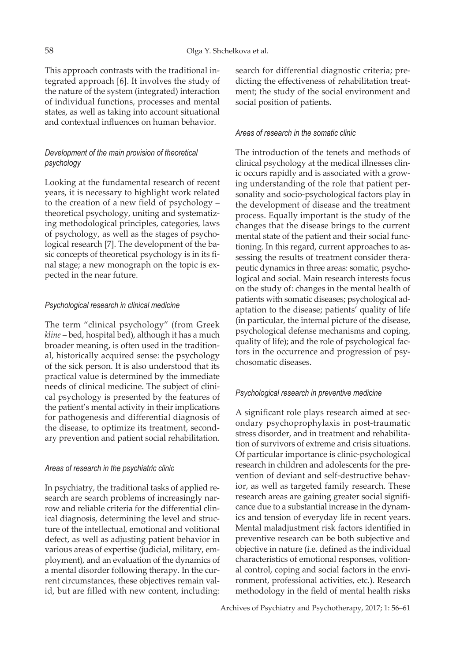This approach contrasts with the traditional integrated approach [6]. It involves the study of the nature of the system (integrated) interaction of individual functions, processes and mental states, as well as taking into account situational and contextual influences on human behavior.

# *Development of the main provision of theoretical psychology*

Looking at the fundamental research of recent years, it is necessary to highlight work related to the creation of a new field of psychology – theoretical psychology, uniting and systematizing methodological principles, categories, laws of psychology, as well as the stages of psychological research [7]. The development of the basic concepts of theoretical psychology is in its final stage; a new monograph on the topic is expected in the near future.

## *Psychological research in clinical medicine*

The term "clinical psychology" (from Greek *kline* – bed, hospital bed), although it has a much broader meaning, is often used in the traditional, historically acquired sense: the psychology of the sick person. It is also understood that its practical value is determined by the immediate needs of clinical medicine. The subject of clinical psychology is presented by the features of the patient's mental activity in their implications for pathogenesis and differential diagnosis of the disease, to optimize its treatment, secondary prevention and patient social rehabilitation.

## *Areas of research in the psychiatric clinic*

In psychiatry, the traditional tasks of applied research are search problems of increasingly narrow and reliable criteria for the differential clinical diagnosis, determining the level and structure of the intellectual, emotional and volitional defect, as well as adjusting patient behavior in various areas of expertise (judicial, military, employment), and an evaluation of the dynamics of a mental disorder following therapy. In the current circumstances, these objectives remain valid, but are filled with new content, including:

search for differential diagnostic criteria; predicting the effectiveness of rehabilitation treatment; the study of the social environment and social position of patients.

# *Areas of research in the somatic clinic*

The introduction of the tenets and methods of clinical psychology at the medical illnesses clinic occurs rapidly and is associated with a growing understanding of the role that patient personality and socio-psychological factors play in the development of disease and the treatment process. Equally important is the study of the changes that the disease brings to the current mental state of the patient and their social functioning. In this regard, current approaches to assessing the results of treatment consider therapeutic dynamics in three areas: somatic, psychological and social. Main research interests focus on the study of: changes in the mental health of patients with somatic diseases; psychological adaptation to the disease; patients' quality of life (in particular, the internal picture of the disease, psychological defense mechanisms and coping, quality of life); and the role of psychological factors in the occurrence and progression of psychosomatic diseases.

# *Psychological research in preventive medicine*

A significant role plays research aimed at secondary psychoprophylaxis in post-traumatic stress disorder, and in treatment and rehabilitation of survivors of extreme and crisis situations. Of particular importance is clinic-psychological research in children and adolescents for the prevention of deviant and self-destructive behavior, as well as targeted family research. These research areas are gaining greater social significance due to a substantial increase in the dynamics and tension of everyday life in recent years. Mental maladjustment risk factors identified in preventive research can be both subjective and objective in nature (i.e. defined as the individual characteristics of emotional responses, volitional control, coping and social factors in the environment, professional activities, etc.). Research methodology in the field of mental health risks

Archives of Psychiatry and Psychotherapy, 2017; 1: 56–61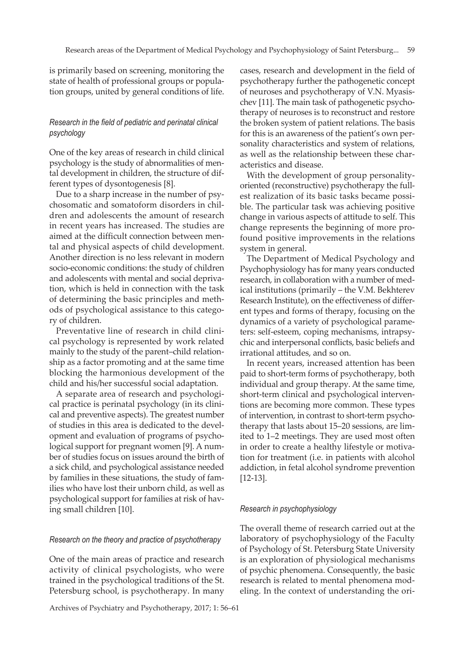is primarily based on screening, monitoring the state of health of professional groups or population groups, united by general conditions of life.

## *Research in the field of pediatric and perinatal clinical psychology*

One of the key areas of research in child clinical psychology is the study of abnormalities of mental development in children, the structure of different types of dysontogenesis [8].

Due to a sharp increase in the number of psychosomatic and somatoform disorders in children and adolescents the amount of research in recent years has increased. The studies are aimed at the difficult connection between mental and physical aspects of child development. Another direction is no less relevant in modern socio-economic conditions: the study of children and adolescents with mental and social deprivation, which is held in connection with the task of determining the basic principles and methods of psychological assistance to this category of children.

Preventative line of research in child clinical psychology is represented by work related mainly to the study of the parent–child relationship as a factor promoting and at the same time blocking the harmonious development of the child and his/her successful social adaptation.

A separate area of research and psychological practice is perinatal psychology (in its clinical and preventive aspects). The greatest number of studies in this area is dedicated to the development and evaluation of programs of psychological support for pregnant women [9]. A number of studies focus on issues around the birth of a sick child, and psychological assistance needed by families in these situations, the study of families who have lost their unborn child, as well as psychological support for families at risk of having small children [10].

## *Research on the theory and practice of psychotherapy*

One of the main areas of practice and research activity of clinical psychologists, who were trained in the psychological traditions of the St. Petersburg school, is psychotherapy. In many

Archives of Psychiatry and Psychotherapy, 2017; 1: 56–61

cases, research and development in the field of psychotherapy further the pathogenetic concept of neuroses and psychotherapy of V.N. Myasischev [11]. The main task of pathogenetic psychotherapy of neuroses is to reconstruct and restore the broken system of patient relations. The basis for this is an awareness of the patient's own personality characteristics and system of relations, as well as the relationship between these characteristics and disease.

With the development of group personalityoriented (reconstructive) psychotherapy the fullest realization of its basic tasks became possible. The particular task was achieving positive change in various aspects of attitude to self. This change represents the beginning of more profound positive improvements in the relations system in general.

The Department of Medical Psychology and Psychophysiology has for many years conducted research, in collaboration with a number of medical institutions (primarily – the V.M. Bekhterev Research Institute), on the effectiveness of different types and forms of therapy, focusing on the dynamics of a variety of psychological parameters: self-esteem, coping mechanisms, intrapsychic and interpersonal conflicts, basic beliefs and irrational attitudes, and so on.

In recent years, increased attention has been paid to short-term forms of psychotherapy, both individual and group therapy. At the same time, short-term clinical and psychological interventions are becoming more common. These types of intervention, in contrast to short-term psychotherapy that lasts about 15–20 sessions, are limited to 1–2 meetings. They are used most often in order to create a healthy lifestyle or motivation for treatment (i.e. in patients with alcohol addiction, in fetal alcohol syndrome prevention [12-13].

### *Research in psychophysiology*

The overall theme of research carried out at the laboratory of psychophysiology of the Faculty of Psychology of St. Petersburg State University is an exploration of physiological mechanisms of psychic phenomena. Consequently, the basic research is related to mental phenomena modeling. In the context of understanding the ori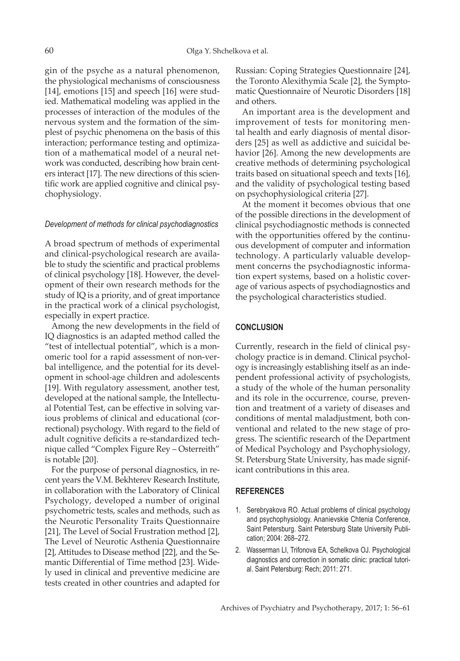gin of the psyche as a natural phenomenon, the physiological mechanisms of consciousness [14], emotions [15] and speech [16] were studied. Mathematical modeling was applied in the processes of interaction of the modules of the nervous system and the formation of the simplest of psychic phenomena on the basis of this interaction; performance testing and optimization of a mathematical model of a neural network was conducted, describing how brain centers interact [17]. The new directions of this scientific work are applied cognitive and clinical psychophysiology.

#### *Development of methods for clinical psychodiagnostics*

A broad spectrum of methods of experimental and clinical-psychological research are available to study the scientific and practical problems of clinical psychology [18]. However, the development of their own research methods for the study of IQ is a priority, and of great importance in the practical work of a clinical psychologist, especially in expert practice.

Among the new developments in the field of IQ diagnostics is an adapted method called the "test of intellectual potential", which is a monomeric tool for a rapid assessment of non-verbal intelligence, and the potential for its development in school-age children and adolescents [19]. With regulatory assessment, another test, developed at the national sample, the Intellectual Potential Test, can be effective in solving various problems of clinical and educational (correctional) psychology. With regard to the field of adult cognitive deficits a re-standardized technique called "Complex Figure Rey – Osterreith" is notable [20].

For the purpose of personal diagnostics, in recent years the V.M. Bekhterev Research Institute, in collaboration with the Laboratory of Clinical Psychology, developed a number of original psychometric tests, scales and methods, such as the Neurotic Personality Traits Questionnaire [21], The Level of Social Frustration method [2], The Level of Neurotic Asthenia Questionnaire [2], Attitudes to Disease method [22], and the Semantic Differential of Time method [23]. Widely used in clinical and preventive medicine are tests created in other countries and adapted for Russian: Coping Strategies Questionnaire [24], the Toronto Alexithymia Scale [2], the Symptomatic Questionnaire of Neurotic Disorders [18] and others.

An important area is the development and improvement of tests for monitoring mental health and early diagnosis of mental disorders [25] as well as addictive and suicidal behavior [26]. Among the new developments are creative methods of determining psychological traits based on situational speech and texts [16], and the validity of psychological testing based on psychophysiological criteria [27].

At the moment it becomes obvious that one of the possible directions in the development of clinical psychodiagnostic methods is connected with the opportunities offered by the continuous development of computer and information technology. A particularly valuable development concerns the psychodiagnostic information expert systems, based on a holistic coverage of various aspects of psychodiagnostics and the psychological characteristics studied.

#### **CONCLUSION**

Currently, research in the field of clinical psychology practice is in demand. Clinical psychology is increasingly establishing itself as an independent professional activity of psychologists, a study of the whole of the human personality and its role in the occurrence, course, prevention and treatment of a variety of diseases and conditions of mental maladjustment, both conventional and related to the new stage of progress. The scientific research of the Department of Medical Psychology and Psychophysiology, St. Petersburg State University, has made significant contributions in this area.

#### **REFERENCES**

- 1. Serebryakova RO. Actual problems of clinical psychology and psychophysiology. Ananievskie Chtenia Conference, Saint Petersburg. Saint Petersburg State University Publication; 2004: 268–272.
- 2. Wasserman LI, Trifonova EA, Schelkova OJ. Psychological diagnostics and correction in somatic clinic: practical tutorial. Saint Petersburg: Rech; 2011: 271.